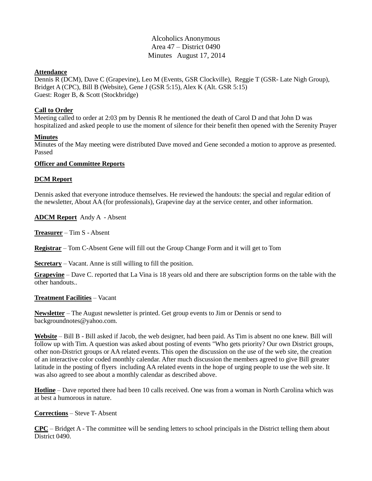# Alcoholics Anonymous Area 47 – District 0490 Minutes August 17, 2014

#### **Attendance**

Dennis R (DCM), Dave C (Grapevine), Leo M (Events, GSR Clockville), Reggie T (GSR- Late Nigh Group), Bridget A (CPC), Bill B (Website), Gene J (GSR 5:15), Alex K (Alt. GSR 5:15) Guest: Roger B, & Scott (Stockbridge)

#### **Call to Order**

Meeting called to order at 2:03 pm by Dennis R he mentioned the death of Carol D and that John D was hospitalized and asked people to use the moment of silence for their benefit then opened with the Serenity Prayer

#### **Minutes**

Minutes of the May meeting were distributed Dave moved and Gene seconded a motion to approve as presented. Passed

#### **Officer and Committee Reports**

## **DCM Report**

Dennis asked that everyone introduce themselves. He reviewed the handouts: the special and regular edition of the newsletter, About AA (for professionals), Grapevine day at the service center, and other information.

**ADCM Report** Andy A - Absent

**Treasurer** – Tim S - Absent

**Registrar** – Tom C-Absent Gene will fill out the Group Change Form and it will get to Tom

**Secretary** – Vacant. Anne is still willing to fill the position.

**Grapevine** – Dave C. reported that La Vina is 18 years old and there are subscription forms on the table with the other handouts..

#### **Treatment Facilities** – Vacant

**Newsletter** – The August newsletter is printed. Get group events to Jim or Dennis or send to backgroundnotes@yahoo.com.

**Website** – Bill B - Bill asked if Jacob, the web designer, had been paid. As Tim is absent no one knew. Bill will follow up with Tim. A question was asked about posting of events "Who gets priority? Our own District groups, other non-District groups or AA related events. This open the discussion on the use of the web site, the creation of an interactive color coded monthly calendar. After much discussion the members agreed to give Bill greater latitude in the posting of flyers including AA related events in the hope of urging people to use the web site. It was also agreed to see about a monthly calendar as described above.

**Hotline** – Dave reported there had been 10 calls received. One was from a woman in North Carolina which was at best a humorous in nature.

**Corrections** – Steve T- Absent

**CPC** – Bridget A - The committee will be sending letters to school principals in the District telling them about District 0490.